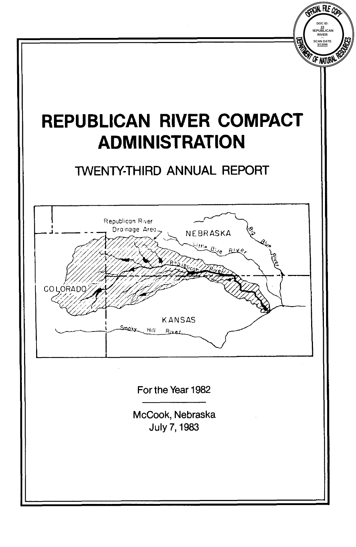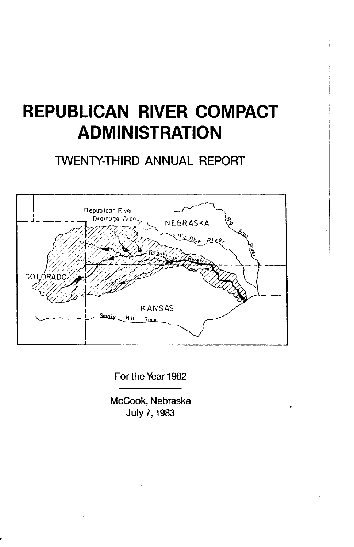# **REPUBLICAN RIVER COMPACT ADMINISTRATION**

# TWENTY-THIRD ANNUAL REPORT



For the Year 1982

McCook, Nebraska July 7,1983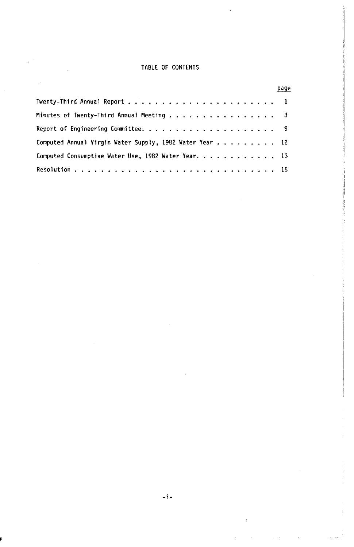# **TABLE OF CONTENTS**

|                                                                              | page |
|------------------------------------------------------------------------------|------|
|                                                                              |      |
| Minutes of Twenty-Third Annual Meeting $\dots \dots \dots \dots \dots \dots$ |      |
|                                                                              |      |
| Computed Annual Virgin Water Supply, 1982 Water Year 12                      |      |
| Computed Consumptive Water Use, 1982 Water Year,  13                         |      |
|                                                                              |      |

Î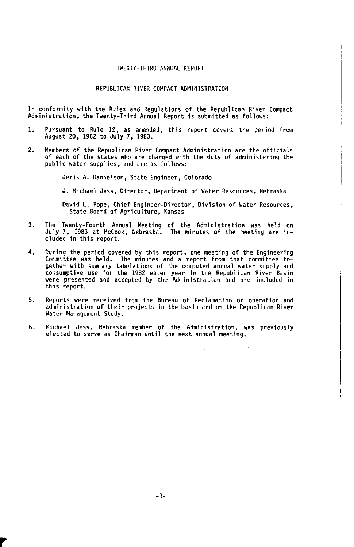#### TWENTY-THIRD **ANNUAL** REPORT

#### REPUBLICAN RIVER COMPACT ADMINISTRATION

In conformity with the Rules and Regulations of the Republican River Compact Administration. the Twenty-Third Annual Report is submitted as follows:

- 1. Pursuant to Rule 12, as amended, this report covers the period from August 20, 1982 to July **7,** 1983.
- 2. Members of the Republican River Compact Administration are the officials of each of the states who are charged with the duty **of** administering the public water supplies, and are **as** follows:

Jeris A. Danielson, State Engineer, Colorado

J. Michael Jess, Director, Department **of** Water Resources, Nebraska

David L. Pope, Chief Engineer-Director, Division **of** Water Resources, State Board **of** Agriculture, Kansas

- **3.** The Twenty-Fourth Annual Meeting of the Administration was held on July **7, 1983** at McCook, Nebraska. The minutes of the meeting are in-cluded in this report.
- Curing the period covered by this report, one meeting **of** the Engineering Committee was held. The minutes and a report from that Committee to-gether with summary tabulations of the computed annual water supply and consumptive use for the 1982 water year in the Republican River Basin were presented and accepted by the Administration and are included in this report. **4.**
- **5.** Reports were received from the Bureau of Reclamation on operation and administration **of** their projects in the basin and on the Republican River Water Management Study.
- **6.** Michael Jess, Nebraska member of the Administration, was previously elected to serve as Chairman until the next annual meeting.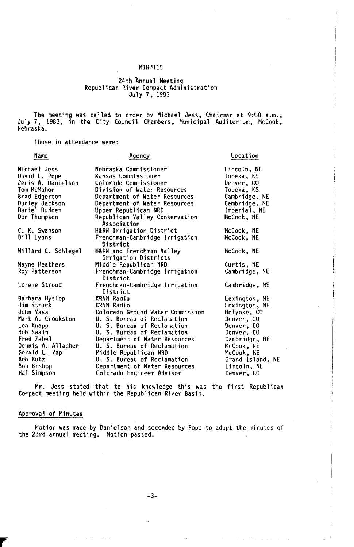#### MINUTES

# 24th Annual Meeting<br>Republican River Compact Administration July 7, 1983

The meeting was called to order by Michael Jess, Chairman at 9:00 a.m., July 7, 1983, in the City Council Chambers, Municipal Auditorium, McCook, Nebraska.

Those in attendance were:

| Name                | Agency                                            | Location             |  |  |  |  |
|---------------------|---------------------------------------------------|----------------------|--|--|--|--|
| Michael Jess        | Nebraska Commissioner                             | Lincoln, NE          |  |  |  |  |
| David L. Pope       | Kansas Commissioner                               | Topeka, KS           |  |  |  |  |
| Jeris A. Danielson  | Colorado Commissioner                             | Denver, CO           |  |  |  |  |
| Tom McMahon         | Division of Water Resources                       | Topeka, KS           |  |  |  |  |
| Brad Edgerton       | Department of Water Resources                     | Cambridge, NE        |  |  |  |  |
| Dudley Jackson      | Department of Water Resources                     | Cambridge, NE        |  |  |  |  |
| Daniel Dudden       | Upper Republican NRD                              | Imperial, NE         |  |  |  |  |
| Don Thompson        | Republican Valley Conservation<br>Association     | McCook, NE           |  |  |  |  |
| C. K. Swanson       | H&RW Irrigation District                          | McCook, NE           |  |  |  |  |
| Bill Lyons          | Frenchman-Cambridge Irrigation<br>District        | McCook. NE           |  |  |  |  |
| Willard C. Schlegel | H&RW and Frenchman Valley<br>Irrigation Districts | McCook, NE           |  |  |  |  |
| Wayne Heathers      | Middle Republican NRD                             | Curtis, NE           |  |  |  |  |
| Roy Patterson       | Frenchman-Cambridge Irrigation<br>District        | Cambridge, NE        |  |  |  |  |
| Lorene Stroud       | Frenchman-Cambridge Irrigation<br>District        | Cambridge, NE        |  |  |  |  |
| Barbara Hyslop      | KRVN Radio                                        | <b>Lexington, NE</b> |  |  |  |  |
| Jim Struck          | KRYN Radio                                        | Lexington, NE        |  |  |  |  |
| John Vasa           | Colorado Ground Water Commission                  | Holyoke, CO          |  |  |  |  |
| Mark A. Crookston   | U. S. Bureau of Reclamation                       | Denver, CO           |  |  |  |  |
| Lon Knapp           | U. S. Bureau of Reclamation                       | Denver, CO           |  |  |  |  |
| Bob Swain           | U. S. Bureau of Reclamation                       | Denver, CO           |  |  |  |  |
| Fred Zabel          | Department of Water Resources                     | Cambridge, NE        |  |  |  |  |
| Dennis A. Allacher  | U. S. Bureau of Reclamation                       | McCook, NE           |  |  |  |  |
| Gerald L. Vap       | Middle Republican NRD                             | McCook, NE           |  |  |  |  |
| Bob Kutz            | U. S. Bureau of Reclamation                       | Grand Island, NE     |  |  |  |  |
| Bob Bishop          | Department of Water Resources                     | Lincoln, NE          |  |  |  |  |
| Hal Simpson         | Colorado Engineer Advisor                         | Denver, CO           |  |  |  |  |
|                     |                                                   |                      |  |  |  |  |

Compact meeting held within the Republican River Basin. Mr. Jess stated that to his knowledge this was the first Republican

## Approval of Minutes

the 23rd annual meeting. Motion passed. Motion was made by Danielson and seconded by Pope to adopt the minutes of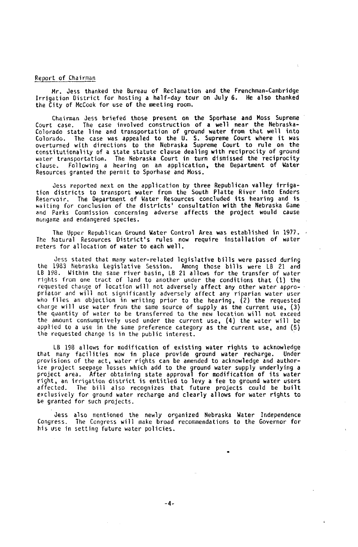### Report of Chairman

Irrigation District for hosting a half-day tour on July 6. Mr. Jess thanked the Bureau of Reclamation and the Frenchman-Cambridge **He** also thanked the City of McCook for use of the meeting room.

Chairman **Jess** briefed those present on the Sporhase and **Moss** Supreme Court case. The case involved construction of a well near the Nebraska-<br>Colorado state line and transportation of ground water from that well into<br>Colorado. The case was appealed to the U. S. Supreme Court where it was<br>ove constitutionality of a state statute clause dealing with reciprocity of ground water transportation. The Nebraska Court in turn dismissed the reciprocity clause. Following a hearing on an application, the Department of Water Resources granted the permit to Sporhase and Moss.

Jess reported next on the application by three Republican valley irriga-tion districts to transport water from the South Platte River into Enders Reservoir, The Department of Water Resources concluded its hearing and is waiting for conclusion of the districts' consultation with the Nebraska Game and Parks Commission concerning adverse affects the project would cause nongame and endangered species.

The Upper Republican Ground Water Control Area was established in 1977. The Natural Resources District's rules now require installation of water meters for allocation of water to each well.

Jess stated that many water-related legislative bills were passed during the 1983 Nebraska Legislative Session. Among those bills were LB 21 and LB 198. Within the same river basin, LB 21 allows for the transfer of water rights from one tract of land to another under the conditions that (1) the requested change of location will not adversely affect any other water appropriator and will not significantly adversely affect any riparian water user<br>who files an objection in writing prior to the hearing, (2) the requested<br>charge will use water from the same source of supply as the current use, the amount consumptively used under the current use, (4) the water will be applied to a use in the same preference category as the current use, and (5) the requested change is in the public interest.

LB 198 allows for modification of existing water rights to acknowledge that many facilities now in place provide ground water recharge. Under provisions of the act, water rights can be amended to acknowledge and authorize project seepage losses which add to the ground water supply underlying a project area. After obtaining state approval for modification of its water right, an irrigation district is entitled to levy a fee to ground water users affected. The bill also recognizes that future projects could be built exclusively for ground water recharge and clearly allows for water rights to be granted for such projects.

Jess also mentioned the newly organized Nebraska Water Independence Congress. The Congress will make broad recommendations to the Governor for his use in setting future water policies.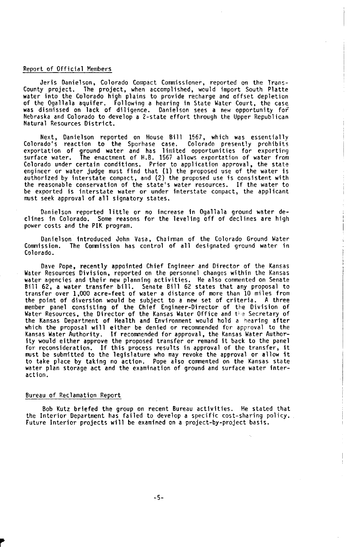#### Report of Official Members

Jeris Danielson. Colorado Compact Commissioner, reported on the Trans-County project. The project, when accomplished. would import South Platte water into the Colorado high plains to provide recharge and offset depletion of the Ogallala aquifer. Following a hearing in State Water Court, the case was dismissed on lack of diligence. Danielson **sees** a new opportunity for Nebraska and Colorado to develop a 2-state effort through the Upper Republican Natural Resources District.

Next, Danielson reported on House Bill **1567,** which was essentially Colorado's reaction to the Sporhase case. Colorado presently prohibits exportation of ground water and has limited opportunities for exporting surface water. The enactment of H.B. 1567 allows exportation of water from Colorado under certain conditions. Prior to application approval, the state<br>engineer or water judge must find that (1) the proposed use of the water is<br>authorized by interstate compact, and (2) the proposed use is consiste be exported is interstate water or under interstate compact, the applicant must seek approval of all signatory states.

Danielson reported little or no increase in Ogallala ground water de-clines in Colorado. Some reasons for the leveling off of declines are high power costs and the PIK program.

Danielson introduced John Vasa, Chairman of the Colorado Ground Water Commission. The Commission has control of all designated ground water in Colorado.

Dave Pope, recently appointed Chief Engineer and Director of the Kansas Water Resources Division, reported on the personnel changes within the Kansas water agencies and their new planning activities. He also commented on Senate Bill 62, a water transfer bill. Senate Bill 62 states that any proposal to transfer over **1,000** acre-feet of water a distance of more than 10 miles from the point of diversion would be subject to a new set of criteria. A three member panel consisting of the Chief Engineer-Director of the Division of<br>Water Resources, the Director of the Kansas Water Office and the Secretary of<br>the Kansas Department of Health and Environment would hold a hearing a which the proposal will either be denied or recommended for approval to the Kansas Water Authority. If recommended for approval, the Kansas Water Authority would either approve the proposed transfer or remand it back to the panel for reconsideration. If this process results in approval of the transfer, it must be submitted to the legislature who may revoke the approval or allow it to take place by taking no action. Pope also commented on the Kansas state water plan storage act and the examination of ground and surface water interaction.

#### Bureau of Reclamation Report

Bob Kutz briefed the group on recent Bureau activities. He stated that the Interior Department has failed to develop a specific cost-sharing policy. Future Interior projects will be examined on a project-by-project basis.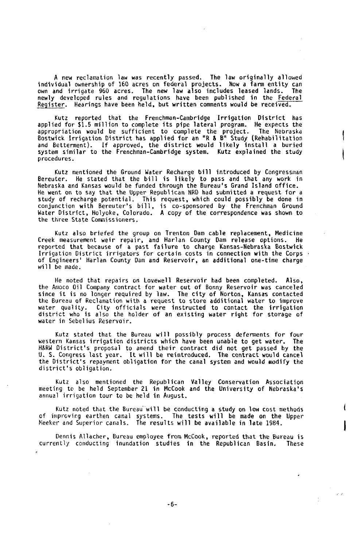A new reclamation law was recently passed. The law originally allowed individual ownership of 160 acres on federal projects. Now a farm entity can own and irrigate 960 acres. The new law also includes leased lands. The<br>newly developed rules and regulations have been published in the <u>Federal</u> Register. Hearings have been held, but written comments would be received.

Kutz reported that the Frenchman-Cambridge Irrigation District has applied for \$1.5 million to complete its pipe lateral program. He expects the appropriation would be sufficient to complete the project. The Nebraska<br>Bostwick Irrigation District has applied for an "R & B" Study (Rehabilitation<br>and Betterment). If approved, the district would likely install a buried procedures.

Kutz mentioned the Ground Water Recharge bill introduced by Congressman<br>Bereuter. He stated that the bill is likely to pass and that any work in<br>.Nebraska and Kansas would be funded through the Bureau's Grand Island offic He went on to say that the Upper Republican NRD had submitted a request for a study of recharge potential. This request, which could possibly be done in<br>conjunction with Bereuter's bill, is co-sponsored by the Frenchman Ground<br>Water District, Holyoke, Colorado. A copy of the correspondence was sho the three State Commissioners.

Kutz also briefed the group on Trenton Dam cable replacement, Medicine Creek measurement weir repair, and Harlan County Dam release options. **He**  reported that because of a past failure to charge Kansas-Nebraska Bostwick Irrigation District irrigators for certain costs in connection with the Corps of Engineers' Harlan County Dam and Reservoir, an additional one-time charge will be made.

He noted that repairs on Lovewell Reservoir had been completed. Also, the Amoco Oil Company contract for water out of Bonny Reservoir was canceled since it is no longer required by law. The city of Norton, Kansas contacted the Bureau of Reclamation with a request to store additional water to improve water quality. City officials were instructed to contact the irrigation district who is also the holder of an existing water right for storage of water in Sebelius Reservoir.

Kutz stated that the Bureau will possibly process deferments for four western Kansas irrigation districts which have been unable to get water. The H&RW District's proposal to amend their contract did not get passed by the **U.** S. Congress last year. It will be reintroduced. The contract would cancel the District's repayment obligation for the canal system and would modify the<br>district's obligation*.* 

Kutz also mentioned the Republican Valley Conservation Association meeting to be held September **21** in McCook and the University of Nebraska's annual irrigation tour to be held in August.

Kutz noted that the Bureau will be conducting a study on low cost methods<br>of improving earthen canal systems. The tests will be made on the Upper<br>Neeker and Superior canals. The results will be available in late 1984.

Dennis Allacher, Bureau employee from McCook, reported that the Bureau is currently conducting inundation studies in the Republican Basin. These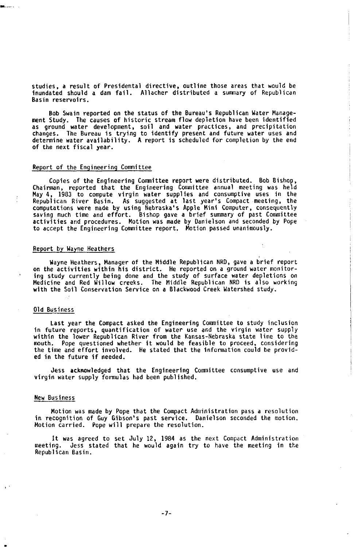studies, a result of Presidential directive, outline those areas that would be inundated should a dam fail. Allacher distributed a summary of Republican Basin reservoirs.

Bob Swain reported on the status of the Bureau's Republican Water Management Study. The causes of historic stream flow depletion have been identified as ground water development, soil and water practices, and precipitation changes. The Bureau is trying to identify present and future water uses and determine water availability. A report is scheduled for completion by the end of the next fiscal year.

#### Report of the Engineering Committee

Copies of the Engineering Committee report were distributed. Bob Bishop, Chairman. reported that the Engineering Committee annual meeting was held May 4, 1983 to compute virgin water supplies and consumptive uses in the<br>Republican River Basin. As suggested at last year's Compact meeting, the<br>computations were made by using Nebraska's Apple Mini Computer, consequently to accept the Engineering Conunittee report. Motion passed unanimously.

#### Report by Wayne Heathers

Wayne Heathers, Manager of the Middle Republican NRD, gave a brief report on the activities within his district. He reported on a ground water monitor ing study currently being done and the study of surface water depletions on<br>Medicine and Red Willow creeks. The Middle Republican NRD is also working<br>with the Soil Conservation Service on a Blackwood Creek Watershed study.

### Old Business

Last year the Compact asked the Engineering Committee to study inclusion in future reports, quantification of water use and the virgin water supply within the lower Republican River from the Kansas-Nebraska state line to the mouth. Pope questioned whether it would be feasible to proceed, considering the time and effort involved. He stated that the information could be provid-ed in the future if needed.

Jess acknowledged that the Engineering Committee consumptive use and virgin water supply formulas had been published.

#### New Business

in recognition of Guy Gibson's past service. Danielson seconded the motion. Motion carried. Pope will prepare the resolution. Motion was made by Pope that the Compact Administration pass a resolution

It was agreed to set July 12, 1984 as the next Compact Administration meeting. Jess stated that he would again try to have the meeting in the Republican Basin.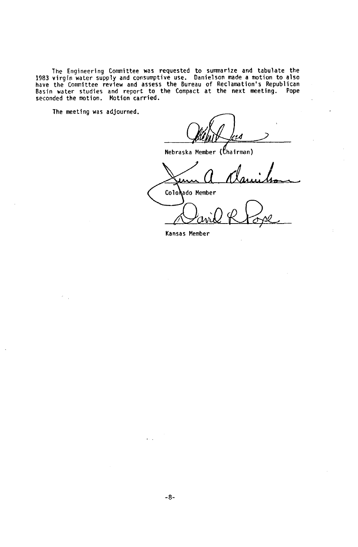The Engineering Committee was requested to summarize and tabulate the<br>1983 virgin water supply and consumptive use. Danielson made a motion to also<br>have the Committee review and assess the Bureau of Reclamation's Republica

The meeting was adjourned.

Nebraska Member ( (Chairman)

Colorado *Colorado Member* **Member** 

Kansas Member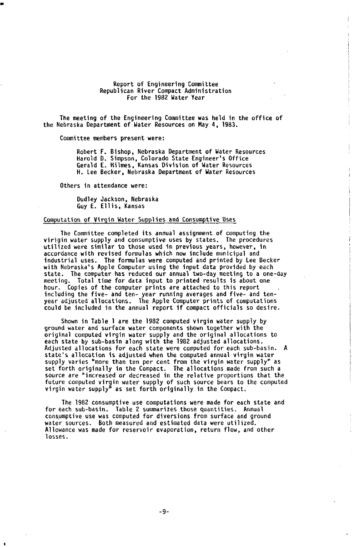#### Report of Engineering Committee Republican River Compact Administration For the 1982 Water Year

The meeting of the Engineering Committee was held in the office of the Nebraska Department of Water Resources on May **4,** 1983.

Committee members present were:

Robert **F.** Bishop, Nebraska Department of Water Resources Harold D. Simpson, Colorado State Engineer's Office Gerald **E.** Hilmes, Kansas Division of Water Resources **H. Lee** Becker. Nebraska Department of Water Resources

Others in attendance were:

Dudley Jackson, Nebraska Guy **E.** Ellis, Kansas

#### Computation of Virgin Water Supplies and Consumptive **Uses**

virigin water supply and consumptive **uses** by states. The procedures utilized were similar to those used in previous years, however, in accordance with revised formulas which now include municipal and industrial uses. The formulas were computed and printed by Lee Becker<br>with Nebraska's Apple Computer using the input data provided by each<br>state. The computer has reduced our annual two-day meeting to a one-day<br>meeting. To hour. Copies of the computer prints are attached to this report including the five- and ten- year running averages and five- and tenyear adjusted allocations. The Apple Computer prints of computations could be included in the annual report if compact officials **so** desire. The Committee completed its annual assignment of computing the industrial uses. The formulas were computed and printed by Lee Becker

ground water and surface water components shown together with the original computed virgin water supply and the original allocations to each state by sub-basin along with the 1982 adjusted allocations. Adjusted allocations for each state were computed for each sub-basin. A state's allocation **is** adjusted when the computed annual virgin water supply varies "more than ten per cent from the virgin water supply" as set forth originally in the Compact. The allocations made from such a source are "increased or decreased in the relative proportions that the future computed virgin water supply of such source bears to the computed virgin water supply" as set forth originally in the Compact. Shown in Table **1** are the 1982 computed virgin water supply by

for each sub-basin. Table **2** summarizes those quantities. Annual consumptive **use** was computed for diversions from surface and ground water sources. Both measured and estimated data were utilized. Allowance was made for reservoir evaporation, return flow, and other **losses.**  The 1982 consumptive use computations were made for each state and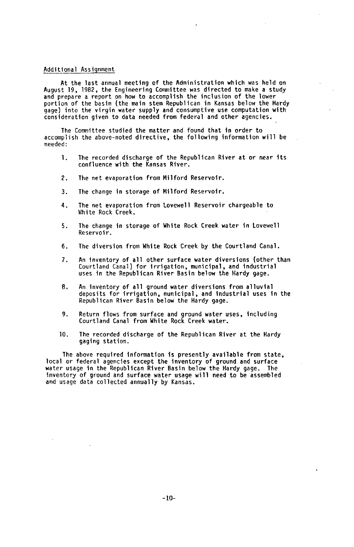#### Additional Assignment

At the last annual meeting of the Administration which was held **on** August 19. 1982, the Engineering Committee was directed to make a study and prepare a report **on** how to accomplish the inclusion of the lower portion of the basin (the main stem Republican in Kansas below the Hardy gage) into the virgin water supply and consumptive use computation with consideration given to data needed from federal and other agencies.

accomplish the above-noted directive, the following information will be needed: The Committee studied the matter and found that in order to

- 1. The recorded discharge of the Republican River at or near its confluence with the Kansas River.
- The net evaporation from Milford Reservoir. 2.
- The change in storage of Milford Reservoir. 3.
- White Rock Creek. 4. The net evaporation from Lovewell Reservoir chargeable to
- The change in storage of White Rock Creek water in Lovewell Reservoir. **5.**
- The diversion from White Rock Creek by the Courtland Canal. **6.**
- An inventory of all other surface water diversions (other than Courtland Canal) for irrigation, municipal, and industrial uses in the Republican River Basin below the Hardy gage. **7.**
- deposits for irrigation, municipal, and industrial uses in the Republican River Basin below the Hardy gage. 8. An inventory of all ground water diversions from alluvial
- Courtland Canal from White Rock Creek water. 9. Return flows from surface and ground water uses, including
- The recorded discharge of the Republican River at the Hardy gaging station. 10.

The above required information is presently available from state, local or federal agencies except the inventory of ground and surface water usage in the Republican River Basin below the Hardy gage. The inventory of ground and surface water usage will need to be assembled and usage data collected annually by Kansas.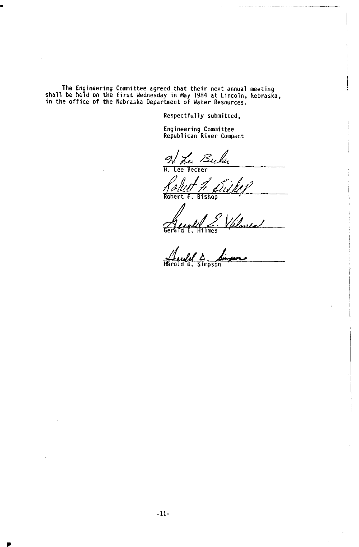The Engineering Committee agreed that their next annual meeting<br>shall be held on the first Wednesday in May 1984 at Lincoln, Nebraska,<br>in the office of the Nebraska Department of Water Resources.

**Respectfully submitted,** 

**Engineering Committee Republican River Compact** 

2 Luber

**Robert F. Bishop**  Deš k

**Gerald E. Hilmes** 

**Harold D. Simpson**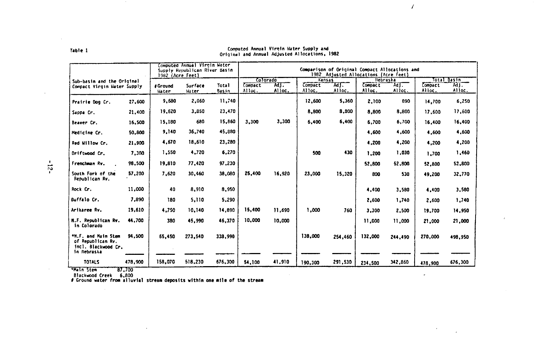|                                                                                |         | 1982 (Acre Feet) | Computed Annual Virgin Water<br>Supply Republican River Basin |                       | Comparison of Original Compact Allocations and<br>1982 Adjusted Allocations (Acre Feet) |                |                   |                |                          |                 |                   |               |
|--------------------------------------------------------------------------------|---------|------------------|---------------------------------------------------------------|-----------------------|-----------------------------------------------------------------------------------------|----------------|-------------------|----------------|--------------------------|-----------------|-------------------|---------------|
| Sub-basin and the Original                                                     |         |                  |                                                               |                       |                                                                                         | Colorado       | Kansas            |                | liebraska                |                 | Total Basin       |               |
| Compact Virgin Water Supply                                                    |         | #Ground<br>Hater | Surface<br>Mater                                              | <b>Total</b><br>Basin | Compact<br>Alloc.                                                                       | AJT.<br>Alloc. | Compact<br>Alloc. | Ad1.<br>Alloc. | <b>Compact</b><br>Alloc. | Ad I.<br>Alloc. | Compact<br>Alloc. | Mi.<br>Alloc. |
| Prairie Dog Cr.                                                                | 27,600  | 9,680            | 2,060                                                         | 11,740                |                                                                                         |                | 12,500            | 5,360          | 2,100                    | 890             | 14,700            | 6,250         |
| Sappa Cr.                                                                      | 21,400  | 19,620           | 3,850                                                         | 23,470                |                                                                                         |                | 8,800             | 8,800          | 8.800                    | 8,800           | 17,600            | 17,600        |
| Beaver Cr.                                                                     | 16,500  | 15,180           | 680                                                           | 15,860                | 3,300                                                                                   | 3,300          | 6.400             | 6,400          | 6,700                    | 6,700           | 16,400            | 16,400        |
| Hedicine Cr.                                                                   | 50,800  | 9,140            | 36,740                                                        | 45,880                |                                                                                         |                |                   |                | 4,600                    | 4.600           | 4.600             | 4,600         |
| Red Willow Cr.                                                                 | 21,900  | 4,670            | 18.610                                                        | 23,280                |                                                                                         |                |                   |                | 4,200                    | 4,200           | 4,200             | 4,200         |
| Driftwood Cr.                                                                  | 7,300   | 1,550            | 4,720                                                         | 6.270                 |                                                                                         |                | 500               | 430            | 1.200                    | 1,030           | 1,700             | 1,460         |
| Frenchman Rv.                                                                  | 98,500  | 19,810           | 77,420                                                        | 97,230                |                                                                                         |                |                   |                | 52.800                   | 52.800          | 52,800            | 52,800        |
| South Fork of the<br>Republican Rv.                                            | 57,200  | 7,620            | 30,460                                                        | 38,080                | 25,400                                                                                  | 16,920         | 23,000            | 15.320         | 800                      | 530             | 49,200            | 32,770        |
| Rock Cr.                                                                       | 11,000  | 40               | 8,910                                                         | 8,950                 |                                                                                         |                |                   |                | 4,400                    | 3,580           | 4,400             | 3,580         |
| Buffalo Cr.                                                                    | 7,890   | 180              | 5,110                                                         | 5.290                 |                                                                                         |                |                   |                | 2,600                    | 1.740           | 2,600             | 1,740         |
| Arikaree Rv.                                                                   | 19,610  | 4.750            | 10,140                                                        | 14,890                | 15,400                                                                                  | 11,690         | 1,000             | 760            | 3,300                    | 2,500           | 19,700            | 14,950        |
| N.F. Republican Rv.<br>in Colorado                                             | 44,700  | 380              | 45.990                                                        | 46,370                | 10,000                                                                                  | 10,000         |                   |                | 11,000                   | 11,000          | 21,000            | 21,000        |
| *N.F. and Main Stem<br>of Republican Rv.<br>incl. Blackwood Cr.<br>in Nebraska | 94.500  | 65.450           | 273.540                                                       | 338,990               |                                                                                         |                | 138,000           | 254,460        | 132,000                  | 244,490         | 270,000           | 498,950       |
| <b>TOTALS</b>                                                                  | 478,900 | 158,070          | 518,230                                                       | 676,300               | 54.100                                                                                  | 41,910         | 190,300           | 291,530        | 234,500                  | 342,860         | 478,900           | 676,300       |

# Computed Annual Virgin Hater Supply and<br>Original and Annual Adjusted Allocations, 1982

 $\overline{1}$ 

 $\sim$ 

**All Stem (27,700)<br>Blackwood Creek 6,800<br>Foround water from alluvial stream deposits within one mile of the stream** 

×

Table 1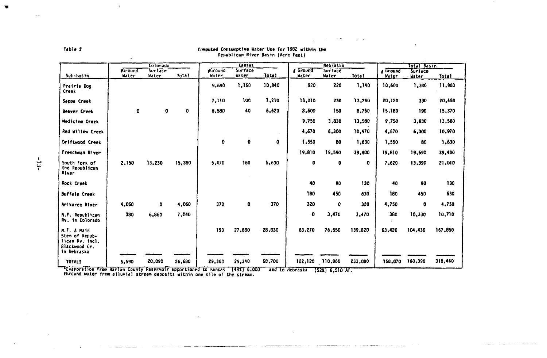|                                                                                  |                         | Colorado         |              |                         | Kansas           |        |                          | Nebraska         |         | Total Basin     |                  |         |
|----------------------------------------------------------------------------------|-------------------------|------------------|--------------|-------------------------|------------------|--------|--------------------------|------------------|---------|-----------------|------------------|---------|
| Sub-basin                                                                        | <b>ACround</b><br>Water | Surface<br>Water | <b>Total</b> | <b>eGround</b><br>Water | Surface<br>water | Tota!  | <b>6</b> Ground<br>Water | Surface<br>Water | Total   | Ground<br>Water | Surface<br>Water | Total   |
|                                                                                  |                         |                  |              |                         |                  |        |                          |                  |         |                 |                  |         |
| Prairie Dog<br>Creek                                                             |                         |                  |              | 9,680                   | 1,160            | 10,840 | 920                      | 220              | 1,140   | 10.600          | 1,380            | 11,980  |
| Sappa Creek                                                                      |                         |                  |              | 7.110                   | 100              | 7.210  | 13,010                   | 230              | 13,240  | 20,120          | 330              | 20,450  |
| <b>Beaver Creek</b>                                                              | 0                       | ٥                | ٥            | 6,580                   | 40               | 6,620  | 8,600                    | 150              | 8,750   | 15,180          | 190              | 15,370  |
| Medicine Creek                                                                   |                         |                  |              |                         |                  |        | 9,750                    | 3,830            | 13,580  | 9,750           | 3,830            | 13,580  |
| Red Willow Creek                                                                 |                         |                  |              |                         |                  | $\sim$ | 4,670                    | 6,300            | 10,970  | 4.670           | 6,300            | 10,970  |
| Driftwood Creek                                                                  |                         |                  |              | 0                       | ٥                | 0      | 1,550                    | 80               | 1,630   | 1,550           | 80               | 1,630   |
| Frenchman River                                                                  |                         |                  |              |                         |                  |        | 19,810                   | 19,590           | 39,400  | 19,810          | 19,590           | 39,400  |
| South Fork of<br>the Republican<br>River                                         | 2,150                   | 13,230           | 15,380       | 5,470                   | 160              | 5.630  | ٥                        | 0                | 0       | 7,620           | 13,390           | 21,010  |
| <b>Rock Creek</b>                                                                |                         |                  |              |                         |                  |        | 40                       | 90               | 130     | 40              | 90               | 130     |
| <b>Buffalo Creek</b>                                                             |                         |                  |              |                         |                  |        | 180                      | 450              | 630     | 180             | 450              | 630     |
| Arikaree River                                                                   | 4,060                   | $\bullet$        | 4,060        | 370                     | ٥                | 370    | 320                      | 0                | 320     | 4,750           | ٥                | 4,750   |
| N.F. Republican<br>Rv. in Colorado                                               | 380                     | 6,860            | 7,240        |                         |                  |        | o                        | 3,470            | 3,470   | 380             | 10,330           | 10,710  |
| N.F. & Main<br>Stem of Repub-<br>lican Rv. incl.<br>Blackwood Cr.<br>in Nebraska |                         |                  |              | 150                     | 27,880           | 28,030 | 63,270                   | 76,550           | 139,820 | 63,420          | 104,430          | 167,850 |
| <b>TOTALS</b>                                                                    | 6,590                   | 20,090           | 26,680       | 29,360                  | 29,340           | 58,700 |                          | 122,120 110,960  | 233,080 | 158,070         | 160,390          | 318,460 |

Computed Consumptive Water Use for 1982 within the Republican River Basin (Acre Feet)

**Contractor** 

 $\sim$   $\sim$ 

<u>service and the company of the company of the company of the company of the company of the company of the company of the company of the company of the company of the company of the company of the company of the company of</u>

**Evaporation from** Harlan County Reservoir apportioned to **Kansas (48%) 6,000 5,000** and to Nebraska **(52%) 6,510 AF.** 

**Samuel Comments** 

13 **13 13** 

 $\sim$   $\sim$ 

Table 2

the property of the company and the company and the company of the company of the company of the company of the